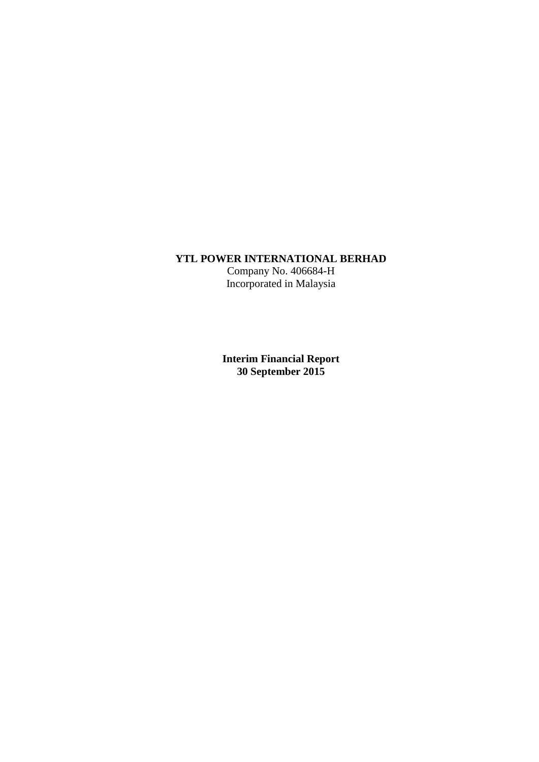# **YTL POWER INTERNATIONAL BERHAD**

Company No. 406684-H Incorporated in Malaysia

**Interim Financial Report 30 September 2015**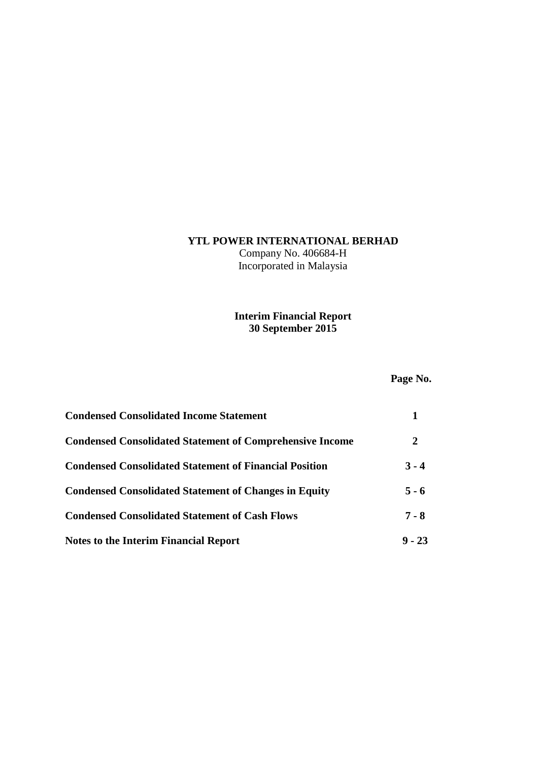# **YTL POWER INTERNATIONAL BERHAD**

Company No. 406684-H Incorporated in Malaysia

# **Interim Financial Report 30 September 2015**

# **Page No.**

| <b>Condensed Consolidated Income Statement</b>                  |          |
|-----------------------------------------------------------------|----------|
| <b>Condensed Consolidated Statement of Comprehensive Income</b> | 2        |
| <b>Condensed Consolidated Statement of Financial Position</b>   | $3 - 4$  |
| <b>Condensed Consolidated Statement of Changes in Equity</b>    | $5 - 6$  |
| <b>Condensed Consolidated Statement of Cash Flows</b>           | $7 - 8$  |
| <b>Notes to the Interim Financial Report</b>                    | $9 - 23$ |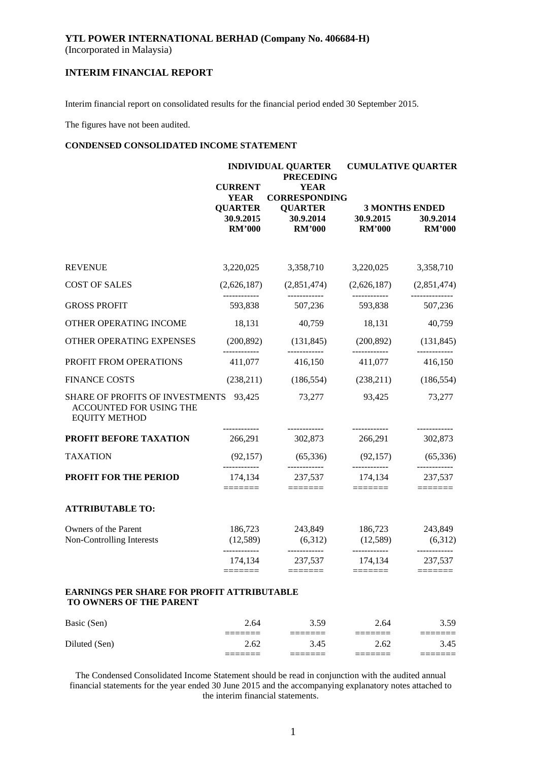# **YTL POWER INTERNATIONAL BERHAD (Company No. 406684-H)**

(Incorporated in Malaysia)

# **INTERIM FINANCIAL REPORT**

Interim financial report on consolidated results for the financial period ended 30 September 2015.

The figures have not been audited.

#### **CONDENSED CONSOLIDATED INCOME STATEMENT**

|                                                                                           | <b>CURRENT</b>                             | <b>INDIVIDUAL QUARTER</b><br><b>PRECEDING</b><br><b>YEAR</b> |                                    | <b>CUMULATIVE QUARTER</b>          |
|-------------------------------------------------------------------------------------------|--------------------------------------------|--------------------------------------------------------------|------------------------------------|------------------------------------|
|                                                                                           | <b>YEAR</b><br><b>QUARTER</b><br>30.9.2015 | <b>CORRESPONDING</b><br><b>QUARTER</b><br>30.9.2014          | 30.9.2015                          | <b>3 MONTHS ENDED</b><br>30.9.2014 |
|                                                                                           | <b>RM'000</b>                              | <b>RM'000</b>                                                | <b>RM'000</b>                      | <b>RM'000</b>                      |
| <b>REVENUE</b>                                                                            | 3,220,025                                  | 3,358,710                                                    | 3,220,025                          | 3,358,710                          |
| <b>COST OF SALES</b>                                                                      | (2,626,187)                                | (2,851,474)                                                  |                                    | $(2,626,187)$ $(2,851,474)$        |
| <b>GROSS PROFIT</b>                                                                       | 593,838                                    | 507,236                                                      | 593,838                            | 507,236                            |
| OTHER OPERATING INCOME                                                                    | 18,131                                     | 40,759                                                       | 18,131                             | 40,759                             |
| OTHER OPERATING EXPENSES                                                                  | (200, 892)                                 | (131, 845)                                                   | (200, 892)                         | (131, 845)                         |
| PROFIT FROM OPERATIONS                                                                    | ------------<br>411,077                    | 416,150                                                      | ____________<br>411,077            | 416,150                            |
| <b>FINANCE COSTS</b>                                                                      | (238,211)                                  | (186, 554)                                                   | (238,211)                          | (186, 554)                         |
| SHARE OF PROFITS OF INVESTMENTS 93,425<br>ACCOUNTED FOR USING THE<br><b>EQUITY METHOD</b> |                                            | 73,277                                                       | 93,425                             | 73,277                             |
| <b>PROFIT BEFORE TAXATION</b>                                                             | 266,291                                    | 302,873                                                      | 266,291                            | 302,873                            |
| <b>TAXATION</b>                                                                           | (92, 157)                                  | (65,336)                                                     | (92, 157)                          | (65, 336)                          |
| PROFIT FOR THE PERIOD                                                                     | -------------<br>174,134<br>=======        | ------------<br>237,537<br>=======                           | ------------<br>174,134<br>======= | ------------<br>237,537            |
| <b>ATTRIBUTABLE TO:</b>                                                                   |                                            |                                                              |                                    |                                    |
| Owners of the Parent<br>Non-Controlling Interests                                         | 186,723<br>(12,589)                        | 243,849<br>(6,312)                                           | (12,589)                           | 186,723 243,849<br>(6,312)         |
|                                                                                           | ------------<br>174,134                    | ------------<br>237,537                                      | ------------<br>174,134            | ------------<br>237,537            |
| <b>EARNINGS PER SHARE FOR PROFIT ATTRIBUTABLE</b><br>TO OWNERS OF THE PARENT              |                                            |                                                              |                                    |                                    |
| Basic (Sen)                                                                               | 2.64                                       | 3.59                                                         | 2.64                               | 3.59                               |
| Diluted (Sen)                                                                             | 2.62                                       | 3.45                                                         | 2.62                               | 3.45                               |

The Condensed Consolidated Income Statement should be read in conjunction with the audited annual financial statements for the year ended 30 June 2015 and the accompanying explanatory notes attached to the interim financial statements.

======= ======= ======= =======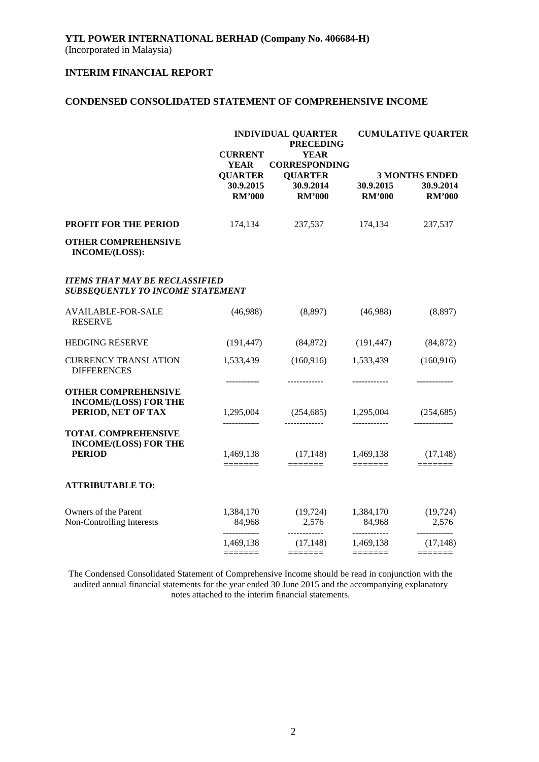### **CONDENSED CONSOLIDATED STATEMENT OF COMPREHENSIVE INCOME**

|                                                                                  |                                                 | <b>INDIVIDUAL QUARTER</b><br><b>PRECEDING</b>         |                            | <b>CUMULATIVE QUARTER</b>   |
|----------------------------------------------------------------------------------|-------------------------------------------------|-------------------------------------------------------|----------------------------|-----------------------------|
|                                                                                  | <b>CURRENT</b><br><b>YEAR</b><br><b>QUARTER</b> | <b>YEAR</b><br><b>CORRESPONDING</b><br><b>QUARTER</b> |                            | <b>3 MONTHS ENDED</b>       |
|                                                                                  | 30.9.2015<br><b>RM'000</b>                      | 30.9.2014<br><b>RM'000</b>                            | 30.9.2015<br><b>RM'000</b> | 30.9.2014<br><b>RM'000</b>  |
| <b>PROFIT FOR THE PERIOD</b>                                                     | 174,134                                         | 237,537                                               | 174,134                    | 237,537                     |
| <b>OTHER COMPREHENSIVE</b><br>INCOME/(LOSS):                                     |                                                 |                                                       |                            |                             |
| <b>ITEMS THAT MAY BE RECLASSIFIED</b><br><b>SUBSEQUENTLY TO INCOME STATEMENT</b> |                                                 |                                                       |                            |                             |
| <b>AVAILABLE-FOR-SALE</b><br><b>RESERVE</b>                                      | (46,988)                                        | (8,897)                                               | (46,988)                   | (8,897)                     |
| <b>HEDGING RESERVE</b>                                                           | (191, 447)                                      | (84, 872)                                             | (191, 447)                 | (84, 872)                   |
| <b>CURRENCY TRANSLATION</b><br><b>DIFFERENCES</b>                                | 1,533,439                                       | (160, 916)                                            | 1,533,439                  | (160, 916)                  |
| <b>OTHER COMPREHENSIVE</b><br><b>INCOME/(LOSS) FOR THE</b>                       | -----------                                     | ------------                                          |                            | ------------                |
| PERIOD, NET OF TAX                                                               | 1,295,004<br>------------                       | (254, 685)<br>-------------                           | 1,295,004<br>------------  | (254, 685)<br>------------- |
| <b>TOTAL COMPREHENSIVE</b><br><b>INCOME/(LOSS) FOR THE</b>                       |                                                 |                                                       |                            |                             |
| <b>PERIOD</b>                                                                    | 1,469,138                                       | (17, 148)                                             | 1,469,138                  | (17, 148)                   |
| <b>ATTRIBUTABLE TO:</b>                                                          |                                                 |                                                       |                            |                             |
| Owners of the Parent<br>Non-Controlling Interests                                | 1,384,170<br>84,968                             | (19, 724)<br>2,576                                    | 1,384,170<br>84,968        | (19, 724)<br>2,576          |
|                                                                                  | ____________<br>1,469,138                       | ------------<br>(17, 148)<br>=======                  | ------------<br>1,469,138  | ------------<br>(17, 148)   |

The Condensed Consolidated Statement of Comprehensive Income should be read in conjunction with the audited annual financial statements for the year ended 30 June 2015 and the accompanying explanatory notes attached to the interim financial statements.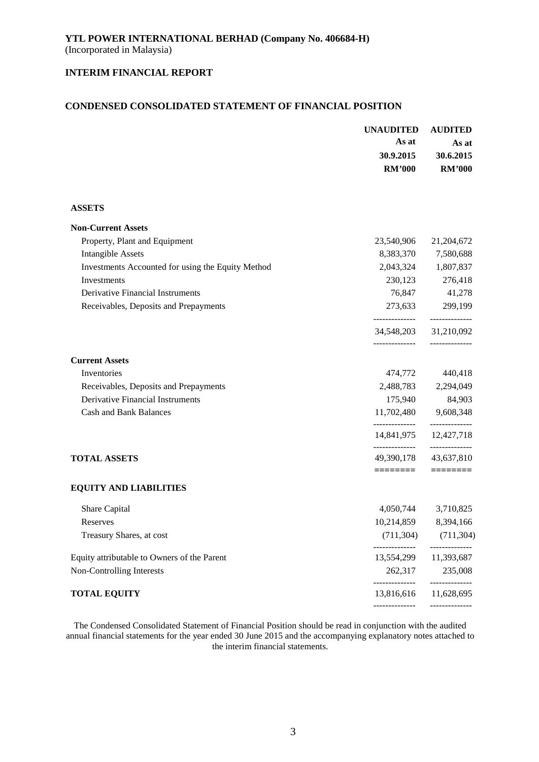# **CONDENSED CONSOLIDATED STATEMENT OF FINANCIAL POSITION**

|                                                   | <b>UNAUDITED</b><br>As at | <b>AUDITED</b><br>As at                  |
|---------------------------------------------------|---------------------------|------------------------------------------|
|                                                   | 30.9.2015                 | 30.6.2015                                |
|                                                   | <b>RM'000</b>             | <b>RM'000</b>                            |
| <b>ASSETS</b>                                     |                           |                                          |
| <b>Non-Current Assets</b>                         |                           |                                          |
| Property, Plant and Equipment                     | 23,540,906                | 21,204,672                               |
| <b>Intangible Assets</b>                          |                           | 8,383,370 7,580,688                      |
| Investments Accounted for using the Equity Method |                           | 2,043,324 1,807,837                      |
| Investments                                       | 230,123                   | 276,418                                  |
| Derivative Financial Instruments                  |                           | 76,847 41,278                            |
| Receivables, Deposits and Prepayments             |                           | 273,633 299,199                          |
|                                                   | --------------            | ---------------<br>34,548,203 31,210,092 |
| <b>Current Assets</b>                             |                           |                                          |
| Inventories                                       | 474,772                   | 440,418                                  |
| Receivables, Deposits and Prepayments             | 2,488,783                 | 2,294,049                                |
| <b>Derivative Financial Instruments</b>           | 175,940                   | 84,903                                   |
| <b>Cash and Bank Balances</b>                     | --------------            | 11,702,480 9,608,348<br>-----------      |
|                                                   |                           | 14,841,975 12,427,718                    |
| <b>TOTAL ASSETS</b>                               |                           | 49,390,178 43,637,810                    |
|                                                   | ========                  |                                          |
| <b>EQUITY AND LIABILITIES</b>                     |                           |                                          |
| Share Capital                                     | 4,050,744                 | 3,710,825                                |
| Reserves                                          | 10,214,859                | 8,394,166                                |
| Treasury Shares, at cost                          | (711, 304)                | (711, 304)                               |
| Equity attributable to Owners of the Parent       | 13,554,299                | 11,393,687                               |
| Non-Controlling Interests                         | 262,317<br>-------------- | 235,008<br>------------                  |
| <b>TOTAL EQUITY</b>                               | 13,816,616                | 11,628,695                               |
|                                                   |                           |                                          |

The Condensed Consolidated Statement of Financial Position should be read in conjunction with the audited annual financial statements for the year ended 30 June 2015 and the accompanying explanatory notes attached to the interim financial statements.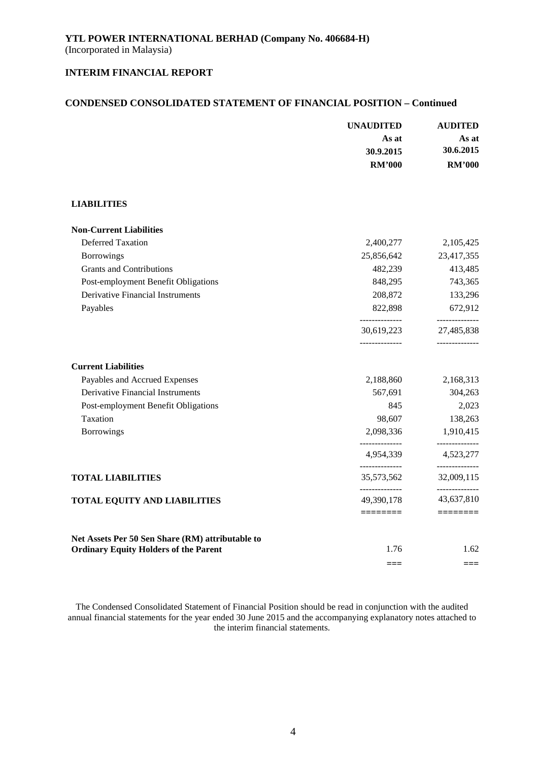#### **CONDENSED CONSOLIDATED STATEMENT OF FINANCIAL POSITION – Continued**

|                                                  | <b>UNAUDITED</b>             | <b>AUDITED</b>               |  |
|--------------------------------------------------|------------------------------|------------------------------|--|
|                                                  | As at                        | As at                        |  |
|                                                  | 30.9.2015                    | 30.6.2015                    |  |
|                                                  | <b>RM'000</b>                | <b>RM'000</b>                |  |
|                                                  |                              |                              |  |
| <b>LIABILITIES</b>                               |                              |                              |  |
| <b>Non-Current Liabilities</b>                   |                              |                              |  |
| <b>Deferred Taxation</b>                         | 2,400,277                    | 2,105,425                    |  |
| Borrowings                                       | 25,856,642                   | 23,417,355                   |  |
| <b>Grants and Contributions</b>                  | 482,239                      | 413,485                      |  |
| Post-employment Benefit Obligations              | 848,295                      | 743,365                      |  |
| <b>Derivative Financial Instruments</b>          | 208,872                      | 133,296                      |  |
| Payables                                         | 822,898<br>______________    | 672,912<br>--------------    |  |
|                                                  | 30,619,223<br>______________ | 27,485,838<br>-------------- |  |
| <b>Current Liabilities</b>                       |                              |                              |  |
| Payables and Accrued Expenses                    | 2,188,860                    | 2,168,313                    |  |
| <b>Derivative Financial Instruments</b>          | 567,691                      | 304,263                      |  |
| Post-employment Benefit Obligations              | 845                          | 2,023                        |  |
| Taxation                                         | 98,607                       | 138,263                      |  |
| Borrowings                                       | 2,098,336                    | 1,910,415                    |  |
|                                                  | 4,954,339                    | --------------<br>4,523,277  |  |
| <b>TOTAL LIABILITIES</b>                         | --------------<br>35,573,562 | --------------<br>32,009,115 |  |
| <b>TOTAL EQUITY AND LIABILITIES</b>              | --------------<br>49,390,178 | --------------<br>43,637,810 |  |
|                                                  | ========                     | ========                     |  |
| Net Assets Per 50 Sen Share (RM) attributable to |                              |                              |  |
| <b>Ordinary Equity Holders of the Parent</b>     | 1.76                         | 1.62                         |  |
|                                                  | $==$                         | $==$                         |  |

The Condensed Consolidated Statement of Financial Position should be read in conjunction with the audited annual financial statements for the year ended 30 June 2015 and the accompanying explanatory notes attached to the interim financial statements.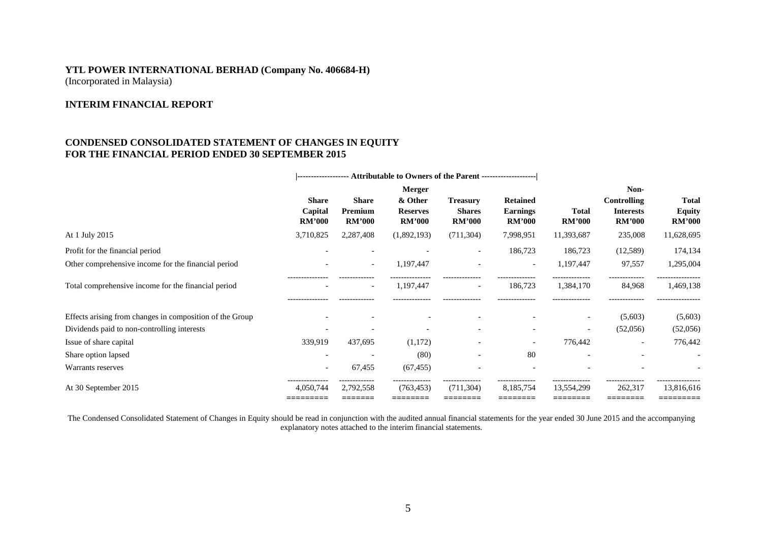# **YTL POWER INTERNATIONAL BERHAD (Company No. 406684-H)** (Incorporated in Malaysia)

# **INTERIM FINANCIAL REPORT**

## **CONDENSED CONSOLIDATED STATEMENT OF CHANGES IN EQUITY FOR THE FINANCIAL PERIOD ENDED 30 SEPTEMBER 2015**

|                                                          | ------------------- Attributable to Owners of the Parent -------------------- |                                          |                                             |                                                   |                                                     |                               |                                                         |                                                |  |
|----------------------------------------------------------|-------------------------------------------------------------------------------|------------------------------------------|---------------------------------------------|---------------------------------------------------|-----------------------------------------------------|-------------------------------|---------------------------------------------------------|------------------------------------------------|--|
|                                                          |                                                                               | Merger                                   |                                             |                                                   |                                                     |                               | Non-                                                    |                                                |  |
|                                                          | <b>Share</b><br>Capital<br><b>RM'000</b>                                      | <b>Share</b><br>Premium<br><b>RM'000</b> | & Other<br><b>Reserves</b><br><b>RM'000</b> | <b>Treasury</b><br><b>Shares</b><br><b>RM'000</b> | <b>Retained</b><br><b>Earnings</b><br><b>RM'000</b> | <b>Total</b><br><b>RM'000</b> | <b>Controlling</b><br><b>Interests</b><br><b>RM'000</b> | <b>Total</b><br><b>Equity</b><br><b>RM'000</b> |  |
| At 1 July 2015                                           | 3,710,825                                                                     | 2,287,408                                | (1,892,193)                                 | (711, 304)                                        | 7,998,951                                           | 11,393,687                    | 235,008                                                 | 11,628,695                                     |  |
| Profit for the financial period                          |                                                                               |                                          |                                             | $\overline{\phantom{a}}$                          | 186,723                                             | 186,723                       | (12,589)                                                | 174,134                                        |  |
| Other comprehensive income for the financial period      |                                                                               | $\overline{\phantom{a}}$                 | 1,197,447                                   | $\overline{\phantom{a}}$                          | $\overline{\phantom{a}}$                            | 1,197,447                     | 97,557                                                  | 1,295,004                                      |  |
| Total comprehensive income for the financial period      |                                                                               | $\overline{\phantom{a}}$                 | 1,197,447                                   | $\overline{\phantom{a}}$                          | 186,723                                             | 1,384,170                     | 84,968                                                  | 1,469,138                                      |  |
| Effects arising from changes in composition of the Group |                                                                               |                                          |                                             |                                                   |                                                     | $\overline{\phantom{a}}$      | (5,603)                                                 | (5,603)                                        |  |
| Dividends paid to non-controlling interests              |                                                                               |                                          |                                             |                                                   |                                                     | $\overline{\phantom{a}}$      | (52,056)                                                | (52,056)                                       |  |
| Issue of share capital                                   | 339,919                                                                       | 437,695                                  | (1,172)                                     |                                                   |                                                     | 776,442                       | $\overline{\phantom{a}}$                                | 776,442                                        |  |
| Share option lapsed                                      |                                                                               |                                          | (80)                                        |                                                   | 80                                                  |                               |                                                         |                                                |  |
| Warrants reserves                                        | $\overline{\phantom{a}}$                                                      | 67,455                                   | (67, 455)                                   |                                                   |                                                     |                               |                                                         |                                                |  |
| At 30 September 2015                                     | 4.050.744                                                                     | 2,792,558                                | (763, 453)                                  | (711, 304)                                        | 8,185,754                                           | 13,554,299                    | 262,317                                                 | 13,816,616                                     |  |

The Condensed Consolidated Statement of Changes in Equity should be read in conjunction with the audited annual financial statements for the year ended 30 June 2015 and the accompanying explanatory notes attached to the interim financial statements.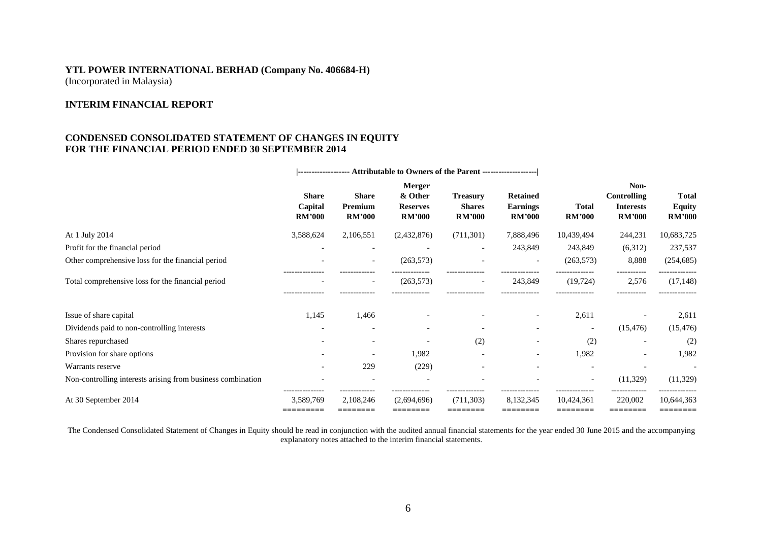# **YTL POWER INTERNATIONAL BERHAD (Company No. 406684-H)** (Incorporated in Malaysia)

# **INTERIM FINANCIAL REPORT**

# **CONDENSED CONSOLIDATED STATEMENT OF CHANGES IN EQUITY FOR THE FINANCIAL PERIOD ENDED 30 SEPTEMBER 2014**

|                                                             | ------------------ Attributable to Owners of the Parent -------------------- |                                                       |                                                              |                                                   |                                                     |                               |                                                                 |                                         |
|-------------------------------------------------------------|------------------------------------------------------------------------------|-------------------------------------------------------|--------------------------------------------------------------|---------------------------------------------------|-----------------------------------------------------|-------------------------------|-----------------------------------------------------------------|-----------------------------------------|
|                                                             | <b>Share</b><br>Capital<br><b>RM'000</b>                                     | <b>Share</b><br>Premium<br><b>RM'000</b>              | <b>Merger</b><br>& Other<br><b>Reserves</b><br><b>RM'000</b> | <b>Treasury</b><br><b>Shares</b><br><b>RM'000</b> | <b>Retained</b><br><b>Earnings</b><br><b>RM'000</b> | <b>Total</b><br><b>RM'000</b> | Non-<br><b>Controlling</b><br><b>Interests</b><br><b>RM'000</b> | Total<br><b>Equity</b><br><b>RM'000</b> |
| At 1 July 2014                                              | 3,588,624                                                                    | 2,106,551                                             | (2,432,876)                                                  | (711, 301)                                        | 7,888,496                                           | 10,439,494                    | 244,231                                                         | 10,683,725                              |
| Profit for the financial period                             |                                                                              | $\overline{\phantom{a}}$                              |                                                              |                                                   | 243,849                                             | 243,849                       | (6,312)                                                         | 237,537                                 |
| Other comprehensive loss for the financial period           |                                                                              | $\overline{\phantom{a}}$                              | (263, 573)                                                   |                                                   |                                                     | (263, 573)                    | 8,888                                                           | (254, 685)                              |
| Total comprehensive loss for the financial period           | ---------------                                                              | $\overline{\phantom{a}}$<br>. - - - - - - - - - - - . | (263, 573)<br>.                                              | --------------                                    | 243,849<br>--------------                           | (19, 724)<br>--------------   | 2,576<br>-----------                                            | (17, 148)<br>--------------             |
| Issue of share capital                                      | 1,145                                                                        | 1,466                                                 |                                                              |                                                   |                                                     | 2,611                         |                                                                 | 2,611                                   |
| Dividends paid to non-controlling interests                 | $\overline{\phantom{a}}$                                                     | $\overline{\phantom{a}}$                              | $\overline{\phantom{0}}$                                     | $\overline{\phantom{0}}$                          |                                                     | $\overline{\phantom{a}}$      | (15, 476)                                                       | (15, 476)                               |
| Shares repurchased                                          |                                                                              |                                                       |                                                              | (2)                                               |                                                     | (2)                           |                                                                 | (2)                                     |
| Provision for share options                                 |                                                                              | $\overline{\phantom{a}}$                              | 1,982                                                        |                                                   |                                                     | 1,982                         | $\overline{\phantom{a}}$                                        | 1,982                                   |
| Warrants reserve                                            |                                                                              | 229                                                   | (229)                                                        | $\overline{\phantom{0}}$                          |                                                     | $\overline{\phantom{a}}$      | $\overline{\phantom{a}}$                                        | $\overline{\phantom{a}}$                |
| Non-controlling interests arising from business combination |                                                                              |                                                       |                                                              |                                                   |                                                     | $\overline{\phantom{a}}$      | (11,329)                                                        | (11,329)                                |
| At 30 September 2014                                        | 3,589,769<br>=========                                                       | 2,108,246<br>========                                 | (2,694,696)<br>========                                      | (711, 303)<br>========                            | 8,132,345<br>========                               | 10,424,361<br>========        | 220,002<br>========                                             | 10,644,363<br>========                  |

The Condensed Consolidated Statement of Changes in Equity should be read in conjunction with the audited annual financial statements for the year ended 30 June 2015 and the accompanying explanatory notes attached to the interim financial statements.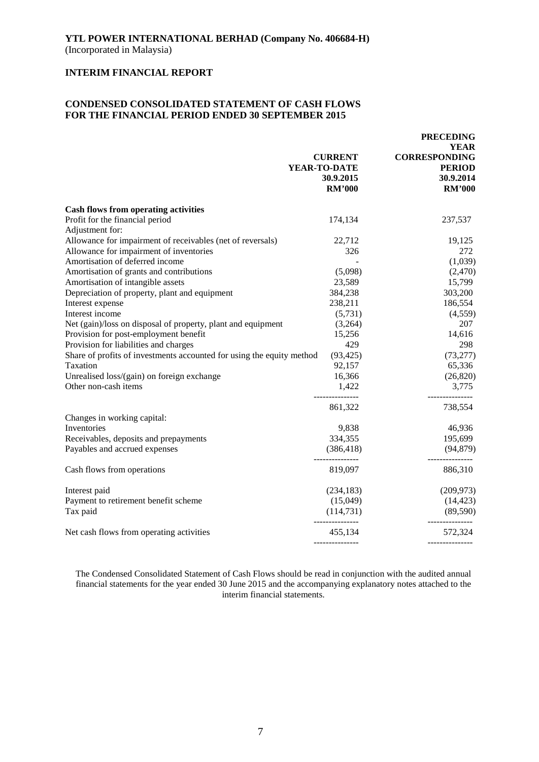# **CONDENSED CONSOLIDATED STATEMENT OF CASH FLOWS FOR THE FINANCIAL PERIOD ENDED 30 SEPTEMBER 2015**

|                                                                       | <b>CURRENT</b><br>YEAR-TO-DATE<br>30.9.2015<br><b>RM'000</b> | <b>PRECEDING</b><br><b>YEAR</b><br><b>CORRESPONDING</b><br><b>PERIOD</b><br>30.9.2014<br><b>RM'000</b> |
|-----------------------------------------------------------------------|--------------------------------------------------------------|--------------------------------------------------------------------------------------------------------|
| <b>Cash flows from operating activities</b>                           |                                                              |                                                                                                        |
| Profit for the financial period<br>Adjustment for:                    | 174,134                                                      | 237,537                                                                                                |
| Allowance for impairment of receivables (net of reversals)            | 22,712                                                       | 19,125                                                                                                 |
| Allowance for impairment of inventories                               | 326                                                          | 272                                                                                                    |
| Amortisation of deferred income                                       |                                                              | (1,039)                                                                                                |
| Amortisation of grants and contributions                              | (5,098)                                                      | (2,470)                                                                                                |
| Amortisation of intangible assets                                     | 23,589                                                       | 15,799                                                                                                 |
| Depreciation of property, plant and equipment                         | 384,238                                                      | 303,200                                                                                                |
| Interest expense                                                      | 238,211                                                      | 186,554                                                                                                |
| Interest income                                                       | (5,731)                                                      | (4,559)                                                                                                |
| Net (gain)/loss on disposal of property, plant and equipment          | (3,264)                                                      | 207                                                                                                    |
| Provision for post-employment benefit                                 | 15,256                                                       | 14,616                                                                                                 |
| Provision for liabilities and charges                                 | 429                                                          | 298                                                                                                    |
| Share of profits of investments accounted for using the equity method | (93, 425)                                                    | (73, 277)                                                                                              |
| Taxation                                                              | 92,157                                                       | 65,336                                                                                                 |
| Unrealised loss/(gain) on foreign exchange                            | 16,366                                                       | (26, 820)                                                                                              |
| Other non-cash items                                                  | 1,422                                                        | 3,775                                                                                                  |
|                                                                       | 861,322                                                      | 738,554                                                                                                |
| Changes in working capital:                                           |                                                              |                                                                                                        |
| Inventories                                                           | 9,838                                                        | 46,936                                                                                                 |
| Receivables, deposits and prepayments                                 | 334,355                                                      | 195,699                                                                                                |
| Payables and accrued expenses                                         | (386, 418)                                                   | (94, 879)                                                                                              |
| Cash flows from operations                                            | 819,097                                                      | 886,310                                                                                                |
| Interest paid                                                         | (234, 183)                                                   | (209, 973)                                                                                             |
| Payment to retirement benefit scheme                                  | (15,049)                                                     | (14, 423)                                                                                              |
| Tax paid                                                              | (114, 731)                                                   | (89, 590)                                                                                              |
| Net cash flows from operating activities                              | ---------------<br>455,134                                   | -----------<br>572,324                                                                                 |
|                                                                       |                                                              | ---------------                                                                                        |

The Condensed Consolidated Statement of Cash Flows should be read in conjunction with the audited annual financial statements for the year ended 30 June 2015 and the accompanying explanatory notes attached to the interim financial statements.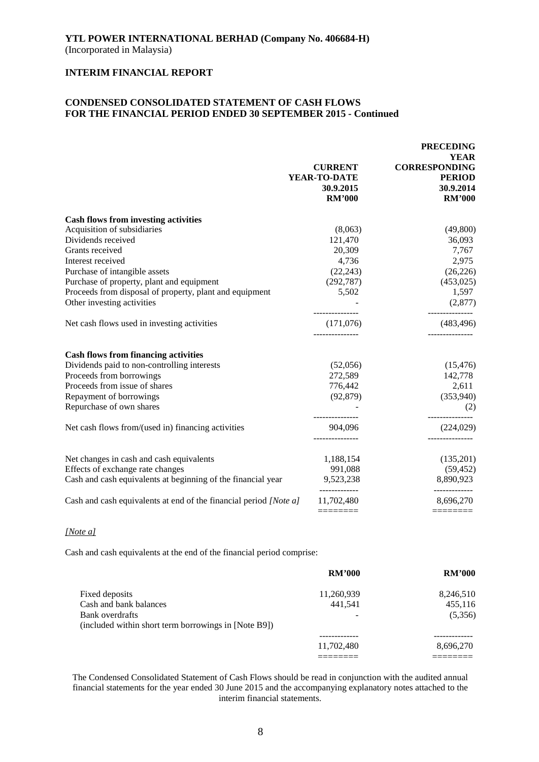## **CONDENSED CONSOLIDATED STATEMENT OF CASH FLOWS FOR THE FINANCIAL PERIOD ENDED 30 SEPTEMBER 2015 - Continued**

|                                                                   | <b>CURRENT</b><br>YEAR-TO-DATE<br>30.9.2015<br><b>RM'000</b> | <b>PRECEDING</b><br><b>YEAR</b><br><b>CORRESPONDING</b><br><b>PERIOD</b><br>30.9.2014<br><b>RM'000</b> |
|-------------------------------------------------------------------|--------------------------------------------------------------|--------------------------------------------------------------------------------------------------------|
| <b>Cash flows from investing activities</b>                       |                                                              |                                                                                                        |
| Acquisition of subsidiaries                                       | (8,063)                                                      | (49,800)                                                                                               |
| Dividends received                                                | 121,470                                                      | 36,093                                                                                                 |
| Grants received                                                   | 20,309                                                       | 7,767                                                                                                  |
| Interest received                                                 | 4,736                                                        | 2,975                                                                                                  |
| Purchase of intangible assets                                     | (22, 243)                                                    | (26, 226)                                                                                              |
| Purchase of property, plant and equipment                         | (292, 787)                                                   | (453, 025)                                                                                             |
| Proceeds from disposal of property, plant and equipment           | 5,502                                                        | 1,597                                                                                                  |
| Other investing activities                                        |                                                              | (2,877)                                                                                                |
| Net cash flows used in investing activities                       | (171,076)                                                    | (483, 496)                                                                                             |
| <b>Cash flows from financing activities</b>                       |                                                              |                                                                                                        |
| Dividends paid to non-controlling interests                       | (52,056)                                                     | (15, 476)                                                                                              |
| Proceeds from borrowings                                          | 272,589                                                      | 142,778                                                                                                |
| Proceeds from issue of shares                                     | 776,442                                                      | 2,611                                                                                                  |
| Repayment of borrowings                                           | (92, 879)                                                    | (353,940)                                                                                              |
| Repurchase of own shares                                          |                                                              | (2)                                                                                                    |
| Net cash flows from/(used in) financing activities                | 904,096<br>.                                                 | (224, 029)                                                                                             |
|                                                                   |                                                              |                                                                                                        |
| Net changes in cash and cash equivalents                          | 1,188,154                                                    | (135,201)                                                                                              |
| Effects of exchange rate changes                                  | 991,088                                                      | (59, 452)                                                                                              |
| Cash and cash equivalents at beginning of the financial year      | 9,523,238<br>-------------                                   | 8,890,923<br>-----------                                                                               |
| Cash and cash equivalents at end of the financial period [Note a] | 11,702,480                                                   | 8,696,270                                                                                              |
|                                                                   | ========                                                     | ========                                                                                               |

#### *[Note a]*

Cash and cash equivalents at the end of the financial period comprise:

|                                                      | <b>RM'000</b> | <b>RM'000</b> |
|------------------------------------------------------|---------------|---------------|
| Fixed deposits                                       | 11,260,939    | 8,246,510     |
| Cash and bank balances                               | 441.541       | 455,116       |
| Bank overdrafts                                      |               | (5,356)       |
| (included within short term borrowings in [Note B9]) |               |               |
|                                                      |               |               |
|                                                      | 11,702,480    | 8,696,270     |
|                                                      |               |               |

The Condensed Consolidated Statement of Cash Flows should be read in conjunction with the audited annual financial statements for the year ended 30 June 2015 and the accompanying explanatory notes attached to the interim financial statements.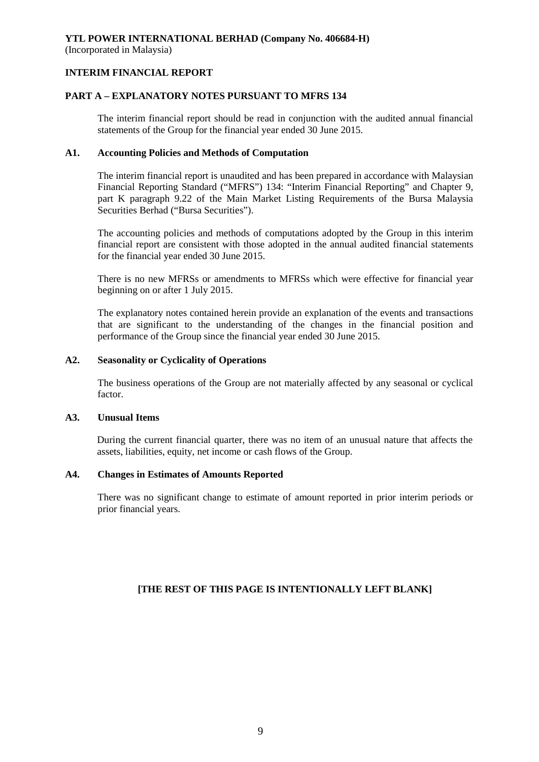(Incorporated in Malaysia)

# **INTERIM FINANCIAL REPORT**

# **PART A – EXPLANATORY NOTES PURSUANT TO MFRS 134**

The interim financial report should be read in conjunction with the audited annual financial statements of the Group for the financial year ended 30 June 2015.

## **A1. Accounting Policies and Methods of Computation**

The interim financial report is unaudited and has been prepared in accordance with Malaysian Financial Reporting Standard ("MFRS") 134: "Interim Financial Reporting" and Chapter 9, part K paragraph 9.22 of the Main Market Listing Requirements of the Bursa Malaysia Securities Berhad ("Bursa Securities").

The accounting policies and methods of computations adopted by the Group in this interim financial report are consistent with those adopted in the annual audited financial statements for the financial year ended 30 June 2015.

There is no new MFRSs or amendments to MFRSs which were effective for financial year beginning on or after 1 July 2015.

The explanatory notes contained herein provide an explanation of the events and transactions that are significant to the understanding of the changes in the financial position and performance of the Group since the financial year ended 30 June 2015.

## **A2. Seasonality or Cyclicality of Operations**

The business operations of the Group are not materially affected by any seasonal or cyclical factor.

## **A3. Unusual Items**

During the current financial quarter, there was no item of an unusual nature that affects the assets, liabilities, equity, net income or cash flows of the Group.

# **A4. Changes in Estimates of Amounts Reported**

There was no significant change to estimate of amount reported in prior interim periods or prior financial years.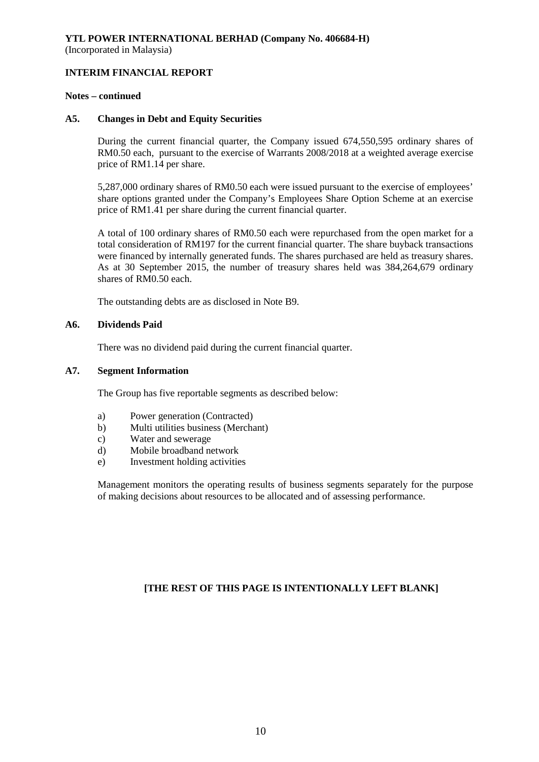### **Notes – continued**

#### **A5. Changes in Debt and Equity Securities**

During the current financial quarter, the Company issued 674,550,595 ordinary shares of RM0.50 each, pursuant to the exercise of Warrants 2008/2018 at a weighted average exercise price of RM1.14 per share.

5,287,000 ordinary shares of RM0.50 each were issued pursuant to the exercise of employees' share options granted under the Company's Employees Share Option Scheme at an exercise price of RM1.41 per share during the current financial quarter.

A total of 100 ordinary shares of RM0.50 each were repurchased from the open market for a total consideration of RM197 for the current financial quarter. The share buyback transactions were financed by internally generated funds. The shares purchased are held as treasury shares. As at 30 September 2015, the number of treasury shares held was 384,264,679 ordinary shares of RM0.50 each.

The outstanding debts are as disclosed in Note B9.

#### **A6. Dividends Paid**

There was no dividend paid during the current financial quarter.

### **A7. Segment Information**

The Group has five reportable segments as described below:

- a) Power generation (Contracted)
- b) Multi utilities business (Merchant)
- c) Water and sewerage
- d) Mobile broadband network
- e) Investment holding activities

Management monitors the operating results of business segments separately for the purpose of making decisions about resources to be allocated and of assessing performance.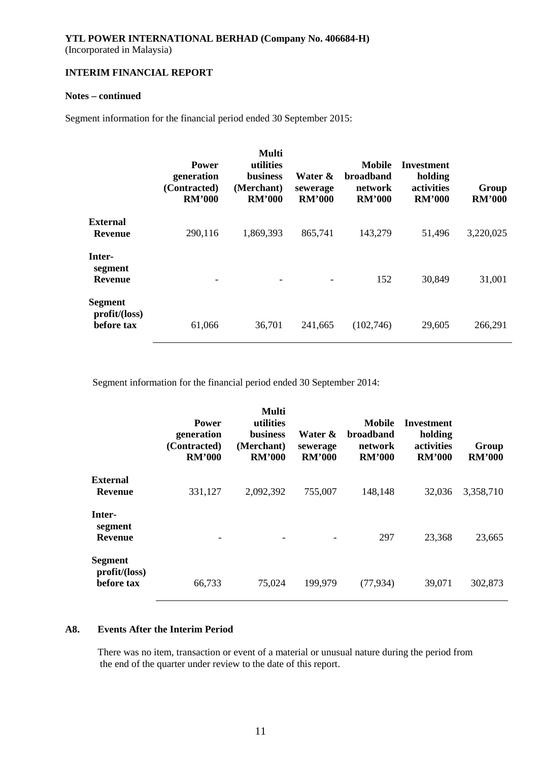# **Notes – continued**

Segment information for the financial period ended 30 September 2015:

|                                              | <b>Power</b><br>generation<br>(Contracted)<br><b>RM'000</b> | Multi<br>utilities<br><b>business</b><br>(Merchant)<br><b>RM'000</b> | Water &<br>sewerage<br><b>RM'000</b> | Mobile<br><b>broadband</b><br>network<br><b>RM'000</b> | Investment<br>holding<br>activities<br><b>RM'000</b> | Group<br><b>RM'000</b> |
|----------------------------------------------|-------------------------------------------------------------|----------------------------------------------------------------------|--------------------------------------|--------------------------------------------------------|------------------------------------------------------|------------------------|
| <b>External</b><br><b>Revenue</b>            | 290,116                                                     | 1,869,393                                                            | 865,741                              | 143,279                                                | 51,496                                               | 3,220,025              |
| Inter-<br>segment<br><b>Revenue</b>          |                                                             | $\overline{\phantom{a}}$                                             |                                      | 152                                                    | 30,849                                               | 31,001                 |
| <b>Segment</b><br>profit/loss)<br>before tax | 61,066                                                      | 36,701                                                               | 241,665                              | (102,746)                                              | 29,605                                               | 266,291                |

Segment information for the financial period ended 30 September 2014:

|                                               | <b>Power</b><br>generation<br>(Contracted)<br><b>RM'000</b> | Multi<br>utilities<br><b>business</b><br>(Merchant)<br><b>RM'000</b> | Water &<br>sewerage<br><b>RM'000</b> | Mobile<br><b>broadband</b><br>network<br><b>RM'000</b> | Investment<br>holding<br>activities<br><b>RM'000</b> | Group<br><b>RM'000</b> |
|-----------------------------------------------|-------------------------------------------------------------|----------------------------------------------------------------------|--------------------------------------|--------------------------------------------------------|------------------------------------------------------|------------------------|
| <b>External</b><br><b>Revenue</b>             | 331,127                                                     | 2,092,392                                                            | 755,007                              | 148,148                                                | 32,036                                               | 3,358,710              |
| Inter-<br>segment<br><b>Revenue</b>           |                                                             |                                                                      |                                      | 297                                                    | 23,368                                               | 23,665                 |
| <b>Segment</b><br>profit/(loss)<br>before tax | 66,733                                                      | 75,024                                                               | 199,979                              | (77, 934)                                              | 39,071                                               | 302,873                |

# **A8. Events After the Interim Period**

There was no item, transaction or event of a material or unusual nature during the period from the end of the quarter under review to the date of this report.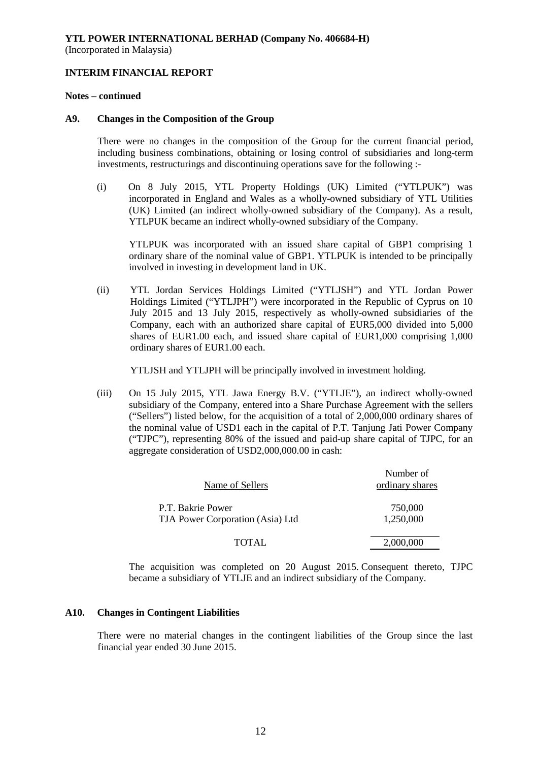#### **Notes – continued**

#### **A9. Changes in the Composition of the Group**

There were no changes in the composition of the Group for the current financial period, including business combinations, obtaining or losing control of subsidiaries and long-term investments, restructurings and discontinuing operations save for the following :-

(i) On 8 July 2015, YTL Property Holdings (UK) Limited ("YTLPUK") was incorporated in England and Wales as a wholly-owned subsidiary of YTL Utilities (UK) Limited (an indirect wholly-owned subsidiary of the Company). As a result, YTLPUK became an indirect wholly-owned subsidiary of the Company.

YTLPUK was incorporated with an issued share capital of GBP1 comprising 1 ordinary share of the nominal value of GBP1. YTLPUK is intended to be principally involved in investing in development land in UK.

(ii) YTL Jordan Services Holdings Limited ("YTLJSH") and YTL Jordan Power Holdings Limited ("YTLJPH") were incorporated in the Republic of Cyprus on 10 July 2015 and 13 July 2015, respectively as wholly-owned subsidiaries of the Company, each with an authorized share capital of EUR5,000 divided into 5,000 shares of EUR1.00 each, and issued share capital of EUR1,000 comprising 1,000 ordinary shares of EUR1.00 each.

YTLJSH and YTLJPH will be principally involved in investment holding.

(iii) On 15 July 2015, YTL Jawa Energy B.V. ("YTLJE"), an indirect wholly-owned subsidiary of the Company, entered into a Share Purchase Agreement with the sellers ("Sellers") listed below, for the acquisition of a total of 2,000,000 ordinary shares of the nominal value of USD1 each in the capital of P.T. Tanjung Jati Power Company ("TJPC"), representing 80% of the issued and paid-up share capital of TJPC, for an aggregate consideration of USD2,000,000.00 in cash:

| Name of Sellers                                       | Number of<br>ordinary shares |
|-------------------------------------------------------|------------------------------|
| P.T. Bakrie Power<br>TJA Power Corporation (Asia) Ltd | 750,000<br>1,250,000         |
| <b>TOTAL</b>                                          | 2,000,000                    |

The acquisition was completed on 20 August 2015. Consequent thereto, TJPC became a subsidiary of YTLJE and an indirect subsidiary of the Company.

#### **A10. Changes in Contingent Liabilities**

There were no material changes in the contingent liabilities of the Group since the last financial year ended 30 June 2015.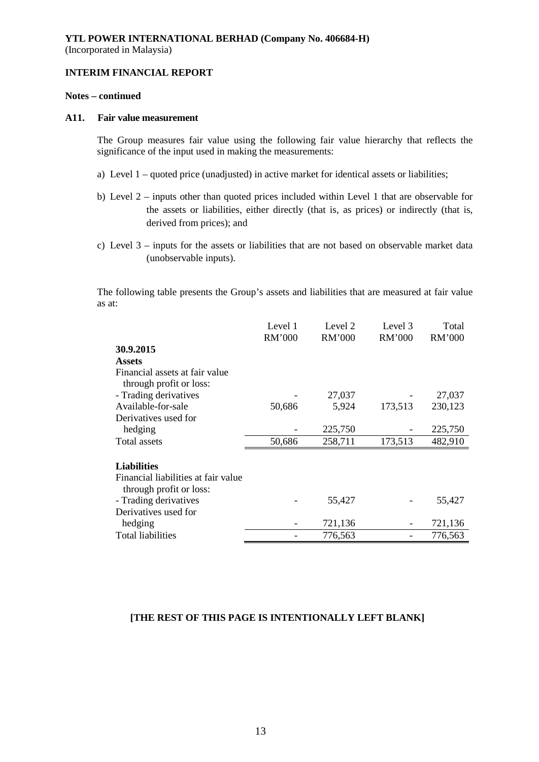# **Notes – continued**

#### **A11. Fair value measurement**

The Group measures fair value using the following fair value hierarchy that reflects the significance of the input used in making the measurements:

- a) Level 1 quoted price (unadjusted) in active market for identical assets or liabilities;
- b) Level 2 inputs other than quoted prices included within Level 1 that are observable for the assets or liabilities, either directly (that is, as prices) or indirectly (that is, derived from prices); and
- c) Level 3 inputs for the assets or liabilities that are not based on observable market data (unobservable inputs).

The following table presents the Group's assets and liabilities that are measured at fair value as at:

|                                                                | Level 1<br>RM'000 | Level 2<br>RM'000 | Level 3<br>RM'000 | Total<br>RM'000 |
|----------------------------------------------------------------|-------------------|-------------------|-------------------|-----------------|
| 30.9.2015                                                      |                   |                   |                   |                 |
| <b>Assets</b>                                                  |                   |                   |                   |                 |
| Financial assets at fair value<br>through profit or loss:      |                   |                   |                   |                 |
| - Trading derivatives                                          |                   | 27,037            |                   | 27,037          |
| Available-for-sale                                             | 50,686            | 5,924             | 173,513           | 230,123         |
| Derivatives used for                                           |                   |                   |                   |                 |
| hedging                                                        |                   | 225,750           |                   | 225,750         |
| Total assets                                                   | 50,686            | 258,711           | 173,513           | 482,910         |
| <b>Liabilities</b>                                             |                   |                   |                   |                 |
| Financial liabilities at fair value<br>through profit or loss: |                   |                   |                   |                 |
| - Trading derivatives                                          |                   | 55,427            |                   | 55,427          |
| Derivatives used for                                           |                   |                   |                   |                 |
| hedging                                                        |                   | 721,136           |                   | 721,136         |
| Total liabilities                                              |                   | 776,563           |                   | 776,563         |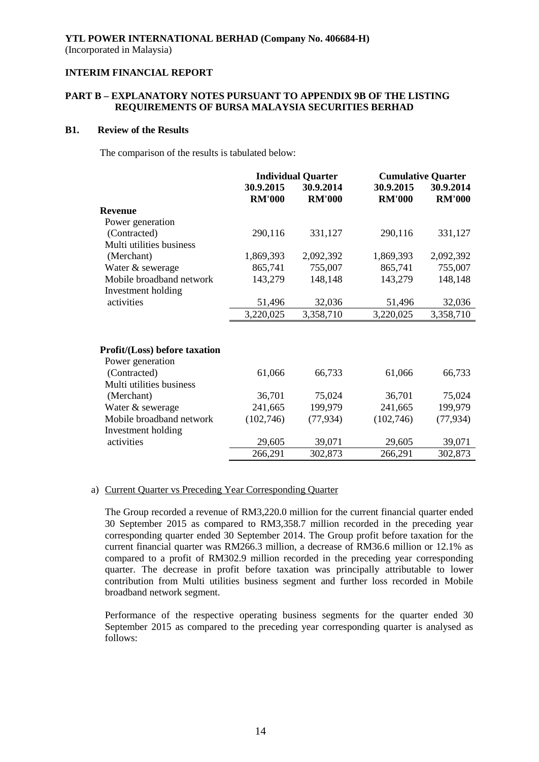# **PART B – EXPLANATORY NOTES PURSUANT TO APPENDIX 9B OF THE LISTING REQUIREMENTS OF BURSA MALAYSIA SECURITIES BERHAD**

### **B1. Review of the Results**

The comparison of the results is tabulated below:

|                                      | <b>Individual Quarter</b> |               | <b>Cumulative Quarter</b> |               |  |
|--------------------------------------|---------------------------|---------------|---------------------------|---------------|--|
|                                      | 30.9.2015<br>30.9.2014    |               | 30.9.2015                 | 30.9.2014     |  |
|                                      | <b>RM'000</b>             | <b>RM'000</b> | <b>RM'000</b>             | <b>RM'000</b> |  |
| <b>Revenue</b>                       |                           |               |                           |               |  |
| Power generation                     |                           |               |                           |               |  |
| (Contracted)                         | 290,116                   | 331,127       | 290,116                   | 331,127       |  |
| Multi utilities business             |                           |               |                           |               |  |
| (Merchant)                           | 1,869,393                 | 2,092,392     | 1,869,393                 | 2,092,392     |  |
| Water & sewerage                     | 865,741                   | 755,007       | 865,741                   | 755,007       |  |
| Mobile broadband network             | 143,279                   | 148,148       | 143,279                   | 148,148       |  |
| Investment holding                   |                           |               |                           |               |  |
| activities                           | 51,496                    | 32,036        | 51,496                    | 32,036        |  |
|                                      | 3,220,025                 | 3,358,710     | 3,220,025                 | 3,358,710     |  |
|                                      |                           |               |                           |               |  |
|                                      |                           |               |                           |               |  |
| <b>Profit/(Loss)</b> before taxation |                           |               |                           |               |  |
| Power generation                     |                           |               |                           |               |  |
| (Contracted)                         | 61,066                    | 66,733        | 61,066                    | 66,733        |  |
| Multi utilities business             |                           |               |                           |               |  |
| (Merchant)                           | 36,701                    | 75,024        | 36,701                    | 75,024        |  |
| Water & sewerage                     | 241,665                   | 199,979       | 241,665                   | 199,979       |  |
| Mobile broadband network             | (102, 746)                | (77, 934)     | (102,746)                 | (77, 934)     |  |
| Investment holding                   |                           |               |                           |               |  |
| activities                           | 29,605                    | 39,071        | 29,605                    | 39,071        |  |
|                                      | 266,291                   | 302,873       | 266,291                   | 302,873       |  |

# a) Current Quarter vs Preceding Year Corresponding Quarter

The Group recorded a revenue of RM3,220.0 million for the current financial quarter ended 30 September 2015 as compared to RM3,358.7 million recorded in the preceding year corresponding quarter ended 30 September 2014. The Group profit before taxation for the current financial quarter was RM266.3 million, a decrease of RM36.6 million or 12.1% as compared to a profit of RM302.9 million recorded in the preceding year corresponding quarter. The decrease in profit before taxation was principally attributable to lower contribution from Multi utilities business segment and further loss recorded in Mobile broadband network segment.

Performance of the respective operating business segments for the quarter ended 30 September 2015 as compared to the preceding year corresponding quarter is analysed as follows: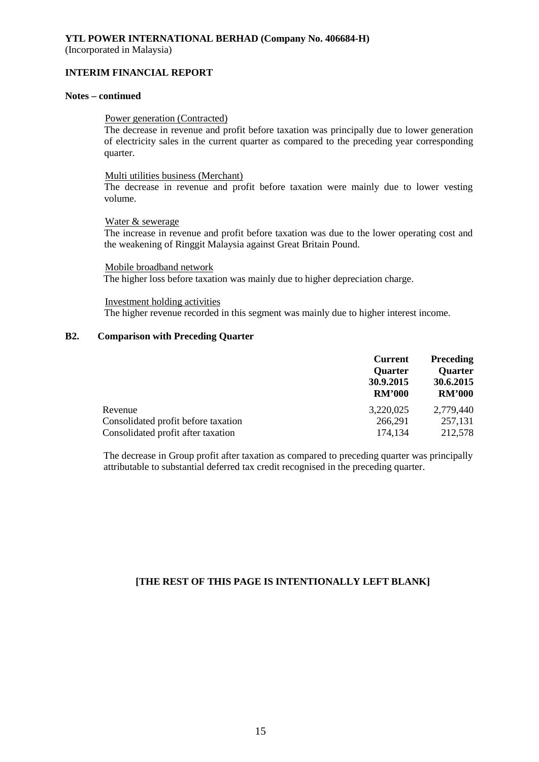# **YTL POWER INTERNATIONAL BERHAD (Company No. 406684-H)**

(Incorporated in Malaysia)

### **INTERIM FINANCIAL REPORT**

# **Notes – continued**

#### Power generation (Contracted)

The decrease in revenue and profit before taxation was principally due to lower generation of electricity sales in the current quarter as compared to the preceding year corresponding quarter.

#### Multi utilities business (Merchant)

The decrease in revenue and profit before taxation were mainly due to lower vesting volume.

#### Water & sewerage

The increase in revenue and profit before taxation was due to the lower operating cost and the weakening of Ringgit Malaysia against Great Britain Pound.

Mobile broadband network The higher loss before taxation was mainly due to higher depreciation charge.

Investment holding activities The higher revenue recorded in this segment was mainly due to higher interest income.

### **B2. Comparison with Preceding Quarter**

|                                     | <b>Current</b><br><b>Quarter</b><br>30.9.2015<br><b>RM'000</b> | <b>Preceding</b><br><b>Quarter</b><br>30.6.2015<br><b>RM'000</b> |  |
|-------------------------------------|----------------------------------------------------------------|------------------------------------------------------------------|--|
| Revenue                             | 3,220,025                                                      | 2,779,440                                                        |  |
| Consolidated profit before taxation | 266,291                                                        | 257,131                                                          |  |
| Consolidated profit after taxation  | 174,134                                                        | 212,578                                                          |  |

The decrease in Group profit after taxation as compared to preceding quarter was principally attributable to substantial deferred tax credit recognised in the preceding quarter.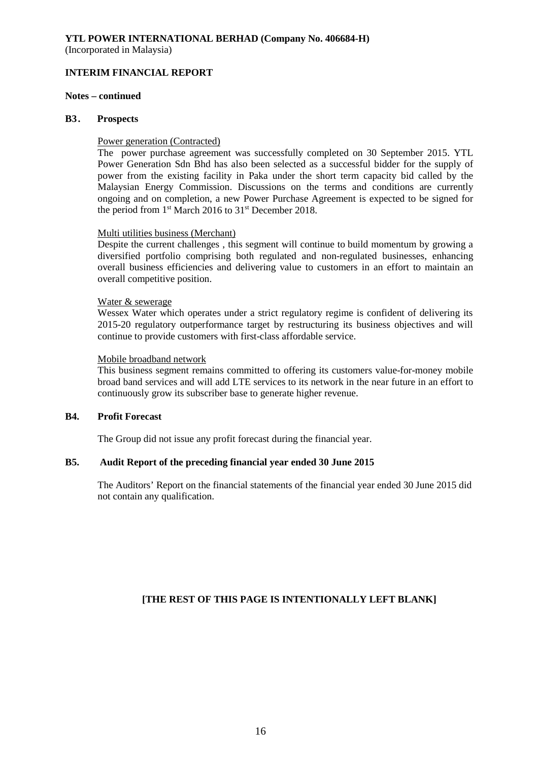# **YTL POWER INTERNATIONAL BERHAD (Company No. 406684-H)**

(Incorporated in Malaysia)

# **INTERIM FINANCIAL REPORT**

# **Notes – continued**

#### **B3. Prospects**

## Power generation (Contracted)

The power purchase agreement was successfully completed on 30 September 2015. YTL Power Generation Sdn Bhd has also been selected as a successful bidder for the supply of power from the existing facility in Paka under the short term capacity bid called by the Malaysian Energy Commission. Discussions on the terms and conditions are currently ongoing and on completion, a new Power Purchase Agreement is expected to be signed for the period from 1<sup>st</sup> March 2016 to 31<sup>st</sup> December 2018.

## Multi utilities business (Merchant)

Despite the current challenges , this segment will continue to build momentum by growing a diversified portfolio comprising both regulated and non-regulated businesses, enhancing overall business efficiencies and delivering value to customers in an effort to maintain an overall competitive position.

## Water & sewerage

Wessex Water which operates under a strict regulatory regime is confident of delivering its 2015-20 regulatory outperformance target by restructuring its business objectives and will continue to provide customers with first-class affordable service.

## Mobile broadband network

This business segment remains committed to offering its customers value-for-money mobile broad band services and will add LTE services to its network in the near future in an effort to continuously grow its subscriber base to generate higher revenue.

# **B4. Profit Forecast**

The Group did not issue any profit forecast during the financial year.

# **B5. Audit Report of the preceding financial year ended 30 June 2015**

The Auditors' Report on the financial statements of the financial year ended 30 June 2015 did not contain any qualification.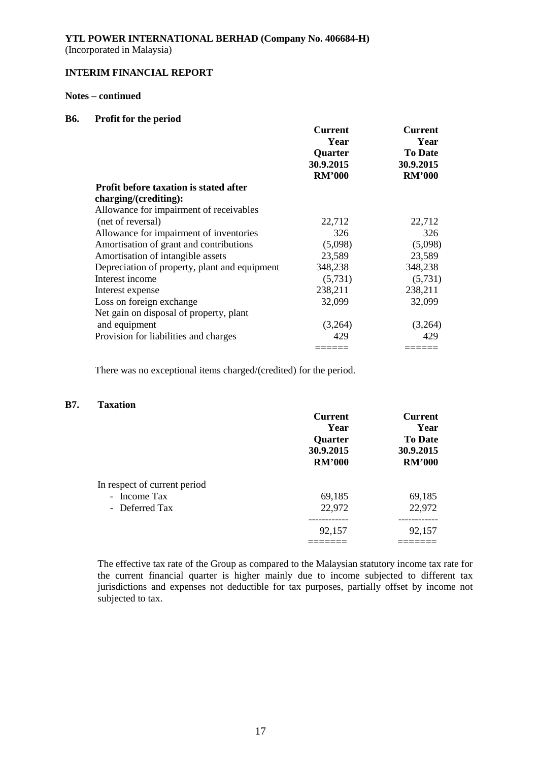## **YTL POWER INTERNATIONAL BERHAD (Company No. 406684-H)** (Incorporated in Malaysia)

### **INTERIM FINANCIAL REPORT**

# **Notes – continued**

#### **B6. Profit for the period**

|                                               | <b>Current</b> | <b>Current</b> |  |
|-----------------------------------------------|----------------|----------------|--|
|                                               | Year           | Year           |  |
|                                               | Quarter        | <b>To Date</b> |  |
|                                               | 30.9.2015      | 30.9.2015      |  |
|                                               | <b>RM'000</b>  | <b>RM'000</b>  |  |
| Profit before taxation is stated after        |                |                |  |
| charging/(crediting):                         |                |                |  |
| Allowance for impairment of receivables       |                |                |  |
| (net of reversal)                             | 22,712         | 22,712         |  |
| Allowance for impairment of inventories       | 326            | 326            |  |
| Amortisation of grant and contributions       | (5,098)        | (5,098)        |  |
| Amortisation of intangible assets             | 23,589         | 23,589         |  |
| Depreciation of property, plant and equipment | 348,238        | 348,238        |  |
| Interest income                               | (5,731)        | (5,731)        |  |
| Interest expense                              | 238,211        | 238,211        |  |
| Loss on foreign exchange                      | 32,099         | 32,099         |  |
| Net gain on disposal of property, plant       |                |                |  |
| and equipment                                 | (3,264)        | (3,264)        |  |
| Provision for liabilities and charges         | 429            | 429            |  |
|                                               |                |                |  |

There was no exceptional items charged/(credited) for the period.

### **B7. Taxation**

|                              | <b>Current</b> | <b>Current</b> |
|------------------------------|----------------|----------------|
|                              | Year           | Year           |
|                              | Quarter        | <b>To Date</b> |
|                              | 30.9.2015      | 30.9.2015      |
|                              | <b>RM'000</b>  | <b>RM'000</b>  |
| In respect of current period |                |                |
| - Income Tax                 | 69,185         | 69,185         |
| - Deferred Tax               | 22,972         | 22,972         |
|                              |                |                |
|                              | 92,157         | 92,157         |
|                              |                |                |

The effective tax rate of the Group as compared to the Malaysian statutory income tax rate for the current financial quarter is higher mainly due to income subjected to different tax jurisdictions and expenses not deductible for tax purposes, partially offset by income not subjected to tax.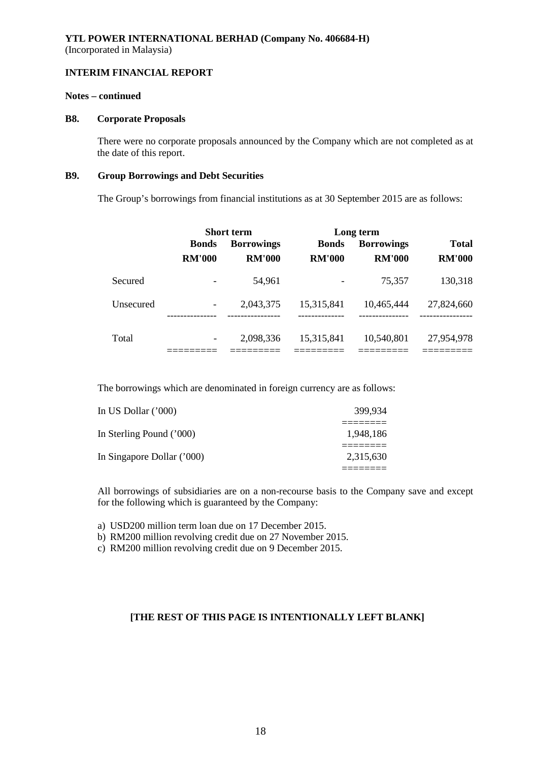# **Notes – continued**

#### **B8. Corporate Proposals**

There were no corporate proposals announced by the Company which are not completed as at the date of this report.

#### **B9. Group Borrowings and Debt Securities**

The Group's borrowings from financial institutions as at 30 September 2015 are as follows:

|           | <b>Short term</b>        |                          | Long term                |                            |                           |
|-----------|--------------------------|--------------------------|--------------------------|----------------------------|---------------------------|
|           | <b>Bonds</b>             | <b>Borrowings</b>        | <b>Bonds</b>             | <b>Borrowings</b>          | <b>Total</b>              |
|           | <b>RM'000</b>            | <b>RM'000</b>            | <b>RM'000</b>            | <b>RM'000</b>              | <b>RM'000</b>             |
| Secured   |                          | 54,961                   | -                        | 75,357                     | 130,318                   |
| Unsecured |                          | 2,043,375<br>----------- | 15,315,841<br>---------- | 10,465,444<br>------------ | 27,824,660<br>----------- |
| Total     | $\overline{\phantom{a}}$ | 2,098,336                | 15,315,841               | 10,540,801                 | 27,954,978                |

The borrowings which are denominated in foreign currency are as follows:

| In US Dollar ('000)        | 399.934   |
|----------------------------|-----------|
| In Sterling Pound ('000)   | 1.948.186 |
| In Singapore Dollar ('000) | 2.315.630 |
|                            |           |

All borrowings of subsidiaries are on a non-recourse basis to the Company save and except for the following which is guaranteed by the Company:

a) USD200 million term loan due on 17 December 2015.

b) RM200 million revolving credit due on 27 November 2015.

c) RM200 million revolving credit due on 9 December 2015.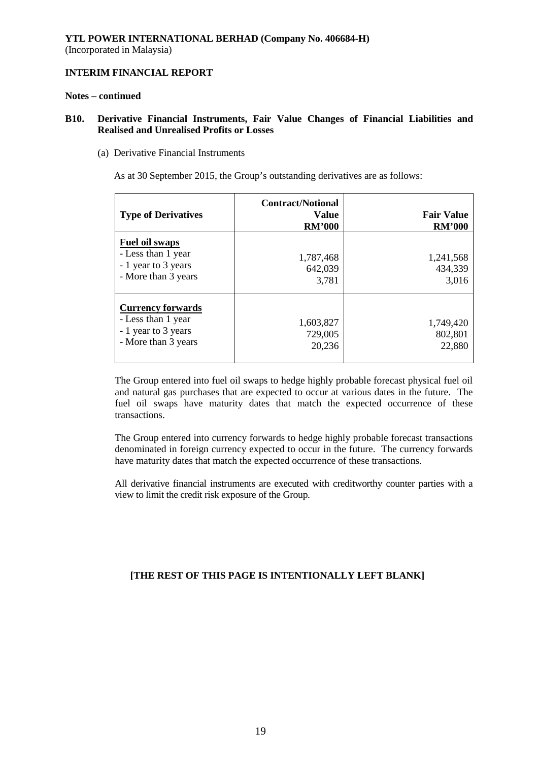#### **Notes – continued**

# **B10. Derivative Financial Instruments, Fair Value Changes of Financial Liabilities and Realised and Unrealised Profits or Losses**

(a) Derivative Financial Instruments

As at 30 September 2015, the Group's outstanding derivatives are as follows:

| <b>Type of Derivatives</b>                                                                   | <b>Contract/Notional</b><br>Value<br><b>RM'000</b> | <b>Fair Value</b><br><b>RM'000</b> |
|----------------------------------------------------------------------------------------------|----------------------------------------------------|------------------------------------|
| Fuel oil swaps<br>- Less than 1 year<br>- 1 year to 3 years<br>- More than 3 years           | 1,787,468<br>642,039<br>3,781                      | 1,241,568<br>434,339<br>3,016      |
| <b>Currency forwards</b><br>- Less than 1 year<br>- 1 year to 3 years<br>- More than 3 years | 1,603,827<br>729,005<br>20,236                     | 1,749,420<br>802,801<br>22,880     |

The Group entered into fuel oil swaps to hedge highly probable forecast physical fuel oil and natural gas purchases that are expected to occur at various dates in the future. The fuel oil swaps have maturity dates that match the expected occurrence of these transactions.

The Group entered into currency forwards to hedge highly probable forecast transactions denominated in foreign currency expected to occur in the future. The currency forwards have maturity dates that match the expected occurrence of these transactions.

All derivative financial instruments are executed with creditworthy counter parties with a view to limit the credit risk exposure of the Group.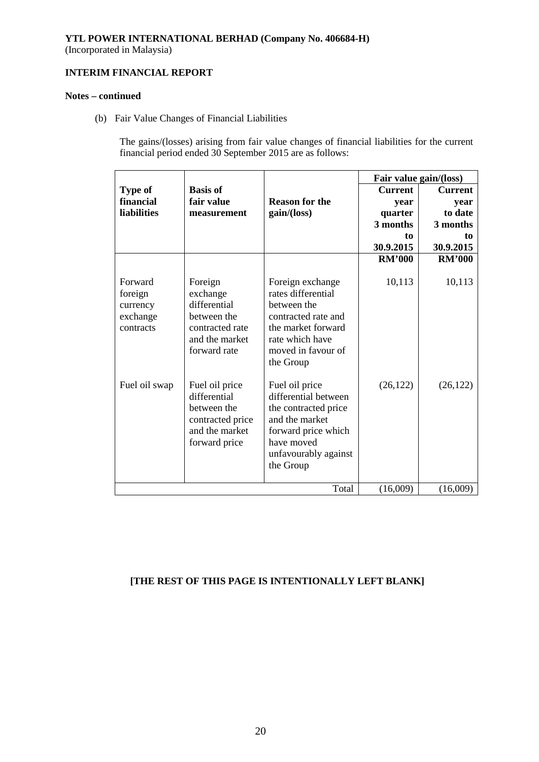# **YTL POWER INTERNATIONAL BERHAD (Company No. 406684-H)**

(Incorporated in Malaysia)

# **INTERIM FINANCIAL REPORT**

# **Notes – continued**

(b) Fair Value Changes of Financial Liabilities

The gains/(losses) arising from fair value changes of financial liabilities for the current financial period ended 30 September 2015 are as follows:

|                                                         |                                                                                                         |                                                                                                                                                            |                | Fair value gain/(loss) |
|---------------------------------------------------------|---------------------------------------------------------------------------------------------------------|------------------------------------------------------------------------------------------------------------------------------------------------------------|----------------|------------------------|
| <b>Type of</b>                                          | <b>Basis of</b>                                                                                         |                                                                                                                                                            | <b>Current</b> | <b>Current</b>         |
| financial                                               | fair value                                                                                              | <b>Reason for the</b>                                                                                                                                      | year           | year                   |
| <b>liabilities</b>                                      | measurement                                                                                             | gain/(loss)                                                                                                                                                | quarter        | to date                |
|                                                         |                                                                                                         |                                                                                                                                                            | 3 months       | 3 months               |
|                                                         |                                                                                                         |                                                                                                                                                            | to             | to                     |
|                                                         |                                                                                                         |                                                                                                                                                            | 30.9.2015      | 30.9.2015              |
|                                                         |                                                                                                         |                                                                                                                                                            | <b>RM'000</b>  | <b>RM'000</b>          |
| Forward<br>foreign<br>currency<br>exchange<br>contracts | Foreign<br>exchange<br>differential<br>between the<br>contracted rate<br>and the market<br>forward rate | Foreign exchange<br>rates differential<br>between the<br>contracted rate and<br>the market forward<br>rate which have<br>moved in favour of<br>the Group   | 10,113         | 10,113                 |
| Fuel oil swap                                           | Fuel oil price<br>differential<br>between the<br>contracted price<br>and the market<br>forward price    | Fuel oil price<br>differential between<br>the contracted price<br>and the market<br>forward price which<br>have moved<br>unfavourably against<br>the Group | (26, 122)      | (26, 122)              |
|                                                         |                                                                                                         | Total                                                                                                                                                      | (16,009)       | (16,009)               |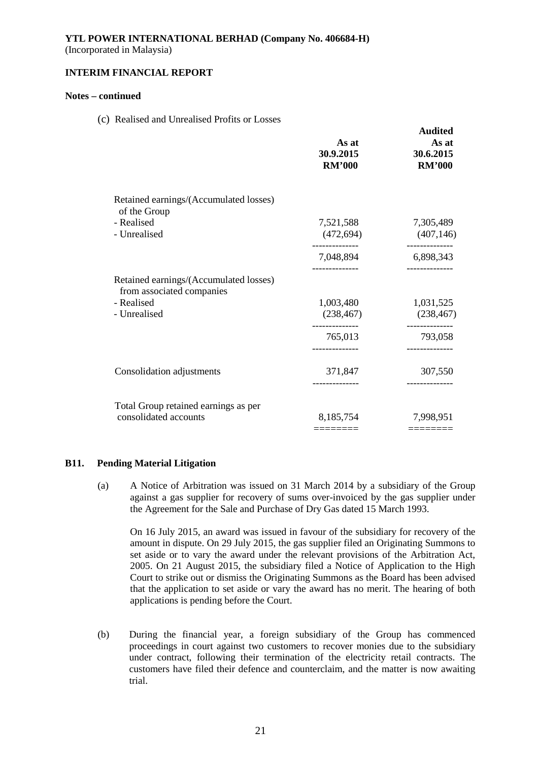(Incorporated in Malaysia)

### **INTERIM FINANCIAL REPORT**

## **Notes – continued**

(c) Realised and Unrealised Profits or Losses

|                                                                     | As at<br>30.9.2015<br><b>RM'000</b>      | Augitea<br>As at<br>30.6.2015<br><b>RM'000</b> |
|---------------------------------------------------------------------|------------------------------------------|------------------------------------------------|
| Retained earnings/(Accumulated losses)<br>of the Group              |                                          |                                                |
| - Realised<br>- Unrealised                                          | 7,521,588<br>(472, 694)<br>------------- | 7,305,489<br>(407, 146)<br>-------------       |
|                                                                     | 7,048,894                                | 6,898,343                                      |
| Retained earnings/(Accumulated losses)<br>from associated companies |                                          |                                                |
| - Realised                                                          | 1,003,480                                | 1,031,525                                      |
| - Unrealised                                                        | (238, 467)                               | (238, 467)                                     |
|                                                                     | 765,013                                  | 793,058                                        |
| Consolidation adjustments                                           | 371,847                                  | 307,550                                        |
| Total Group retained earnings as per                                |                                          |                                                |
| consolidated accounts                                               | 8,185,754                                | 7,998,951                                      |
|                                                                     | ========                                 | ========                                       |

**Audited** 

## **B11. Pending Material Litigation**

(a) A Notice of Arbitration was issued on 31 March 2014 by a subsidiary of the Group against a gas supplier for recovery of sums over-invoiced by the gas supplier under the Agreement for the Sale and Purchase of Dry Gas dated 15 March 1993.

On 16 July 2015, an award was issued in favour of the subsidiary for recovery of the amount in dispute. On 29 July 2015, the gas supplier filed an Originating Summons to set aside or to vary the award under the relevant provisions of the Arbitration Act, 2005. On 21 August 2015, the subsidiary filed a Notice of Application to the High Court to strike out or dismiss the Originating Summons as the Board has been advised that the application to set aside or vary the award has no merit. The hearing of both applications is pending before the Court.

(b) During the financial year, a foreign subsidiary of the Group has commenced proceedings in court against two customers to recover monies due to the subsidiary under contract, following their termination of the electricity retail contracts. The customers have filed their defence and counterclaim, and the matter is now awaiting trial.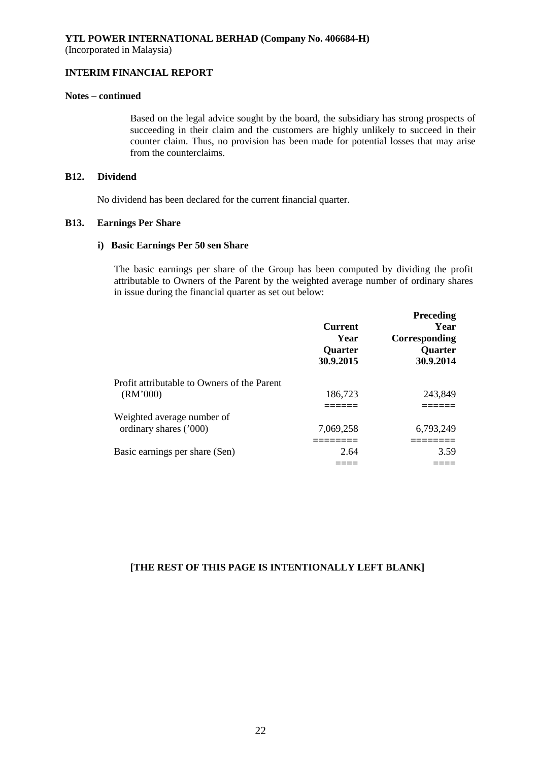(Incorporated in Malaysia)

# **INTERIM FINANCIAL REPORT**

## **Notes – continued**

Based on the legal advice sought by the board, the subsidiary has strong prospects of succeeding in their claim and the customers are highly unlikely to succeed in their counter claim. Thus, no provision has been made for potential losses that may arise from the counterclaims.

# **B12. Dividend**

No dividend has been declared for the current financial quarter.

## **B13. Earnings Per Share**

#### **i) Basic Earnings Per 50 sen Share**

The basic earnings per share of the Group has been computed by dividing the profit attributable to Owners of the Parent by the weighted average number of ordinary shares in issue during the financial quarter as set out below:

|                                             | <b>Current</b><br>Year<br><b>Quarter</b><br>30.9.2015 | <b>Preceding</b><br>Year<br>Corresponding<br><b>Quarter</b><br>30.9.2014 |
|---------------------------------------------|-------------------------------------------------------|--------------------------------------------------------------------------|
| Profit attributable to Owners of the Parent |                                                       |                                                                          |
| (RM'000)                                    | 186,723                                               | 243,849                                                                  |
|                                             |                                                       |                                                                          |
| Weighted average number of                  |                                                       |                                                                          |
| ordinary shares ('000)                      | 7.069,258                                             | 6,793,249                                                                |
|                                             |                                                       |                                                                          |
| Basic earnings per share (Sen)              | 2.64                                                  | 3.59                                                                     |
|                                             |                                                       |                                                                          |